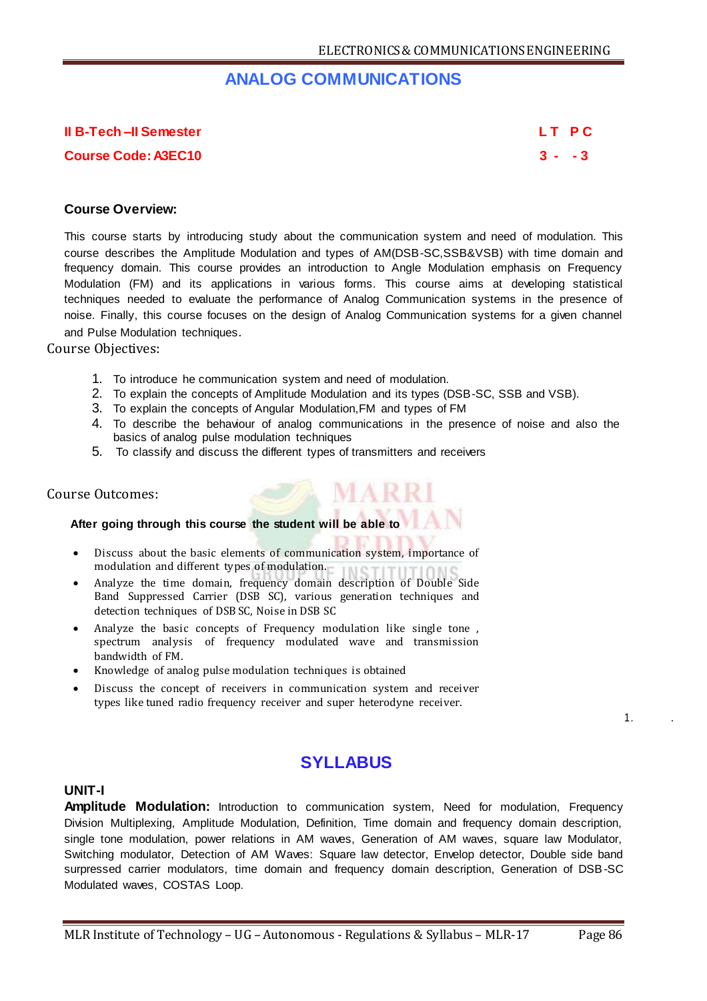# **ANALOG COMMUNICATIONS**

**II B-Tech –II Semester L T P C**

**Course Code: A3EC10 3 - - 3**

### **Course Overview:**

This course starts by introducing study about the communication system and need of modulation. This course describes the Amplitude Modulation and types of AM(DSB-SC,SSB&VSB) with time domain and frequency domain. This course provides an introduction to Angle Modulation emphasis on Frequency Modulation (FM) and its applications in various forms. This course aims at developing statistical techniques needed to evaluate the performance of Analog Communication systems in the presence of noise. Finally, this course focuses on the design of Analog Communication systems for a given channel and Pulse Modulation techniques.

Course Objectives:

- 1. To introduce he communication system and need of modulation.
- 2. To explain the concepts of Amplitude Modulation and its types (DSB-SC, SSB and VSB).
- 3. To explain the concepts of Angular Modulation,FM and types of FM
- 4. To describe the behaviour of analog communications in the presence of noise and also the basics of analog pulse modulation techniques
- 5. To classify and discuss the different types of transmitters and receivers

#### Course Outcomes:

## **After going through this course the student will be able to**

- Discuss about the basic elements of communication system, importance of modulation and different types of modulation.
- Analyze the time domain, frequency domain description of Double Side Band Suppressed Carrier (DSB SC), various generation techniques and detection techniques of DSB SC, Noise in DSB SC
- Analyze the basic concepts of Frequency modulation like single tone , spectrum analysis of frequency modulated wave and transmission bandwidth of FM.
- Knowledge of analog pulse modulation techniques is obtained
- Discuss the concept of receivers in communication system and receiver types like tuned radio frequency receiver and super heterodyne receiver.

1. .

# **SYLLABUS**

### **UNIT-I**

**Amplitude Modulation:** Introduction to communication system, Need for modulation, Frequency Division Multiplexing, Amplitude Modulation, Definition, Time domain and frequency domain description, single tone modulation, power relations in AM waves, Generation of AM waves, square law Modulator, Switching modulator, Detection of AM Waves: Square law detector, Envelop detector, Double side band surpressed carrier modulators, time domain and frequency domain description, Generation of DSB-SC Modulated waves, COSTAS Loop.